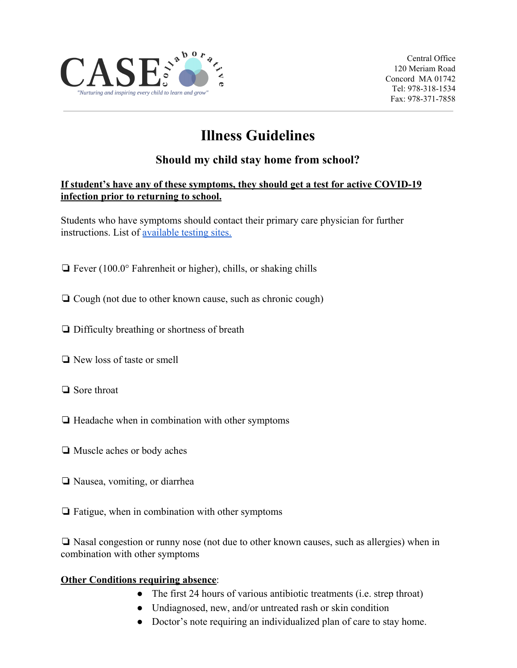

Central Office 120 Meriam Road Concord MA 01742 Tel: 978-318-1534 Fax: 978-371-7858

# **Illness Guidelines**

#### **Should my child stay home from school?**

#### **If student's have any of these symptoms, they should get a test for active COVID-19 infection prior to returning to school.**

Students who have symptoms should contact their primary care physician for further instructions. List of [available testing sites.](https://www.mass.gov/info-details/about-covid-19-testing#where-can-get-a-test?-)

- ❏ Fever (100.0° Fahrenheit or higher), chills, or shaking chills
- ❏ Cough (not due to other known cause, such as chronic cough)
- ❏ Difficulty breathing or shortness of breath
- ❏ New loss of taste or smell
- ❏ Sore throat
- ❏ Headache when in combination with other symptoms
- ❏ Muscle aches or body aches
- ❏ Nausea, vomiting, or diarrhea
- ❏ Fatigue, when in combination with other symptoms

❏ Nasal congestion or runny nose (not due to other known causes, such as allergies) when in combination with other symptoms

#### **Other Conditions requiring absence:**

- The first 24 hours of various antibiotic treatments (i.e. strep throat)
- Undiagnosed, new, and/or untreated rash or skin condition
- Doctor's note requiring an individualized plan of care to stay home.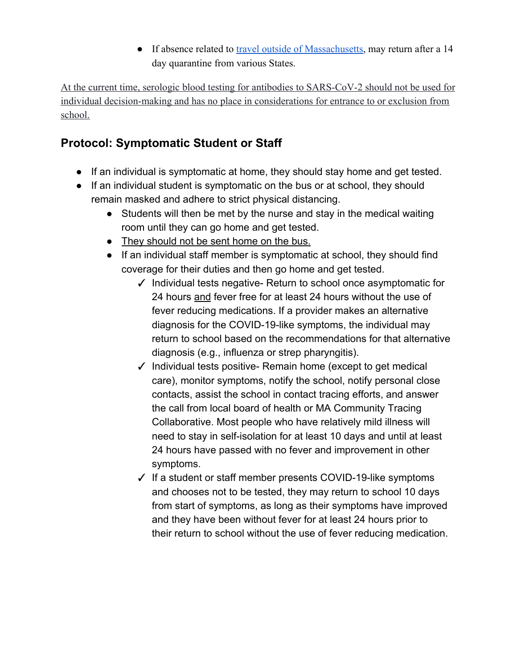• If absence related to [travel outside of Massachusetts](https://www.mass.gov/info-details/travel-information-related-to-covid-19#travel-to-massachusetts-), may return after a 14 day quarantine from various States.

At the current time, serologic blood testing for antibodies to SARS-CoV-2 should not be used for individual decision-making and has no place in considerations for entrance to or exclusion from school.

# **Protocol: Symptomatic Student or Staff**

- If an individual is symptomatic at home, they should stay home and get tested.
- If an individual student is symptomatic on the bus or at school, they should remain masked and adhere to strict physical distancing.
	- Students will then be met by the nurse and stay in the medical waiting room until they can go home and get tested.
	- They should not be sent home on the bus.
	- If an individual staff member is symptomatic at school, they should find coverage for their duties and then go home and get tested.
		- ✓ Individual tests negative- Return to school once asymptomatic for 24 hours and fever free for at least 24 hours without the use of fever reducing medications. If a provider makes an alternative diagnosis for the COVID-19-like symptoms, the individual may return to school based on the recommendations for that alternative diagnosis (e.g., influenza or strep pharyngitis).
		- ✓ Individual tests positive- Remain home (except to get medical care), monitor symptoms, notify the school, notify personal close contacts, assist the school in contact tracing efforts, and answer the call from local board of health or MA Community Tracing Collaborative. Most people who have relatively mild illness will need to stay in self-isolation for at least 10 days and until at least 24 hours have passed with no fever and improvement in other symptoms.
		- ✓ If a student or staff member presents COVID-19-like symptoms and chooses not to be tested, they may return to school 10 days from start of symptoms, as long as their symptoms have improved and they have been without fever for at least 24 hours prior to their return to school without the use of fever reducing medication.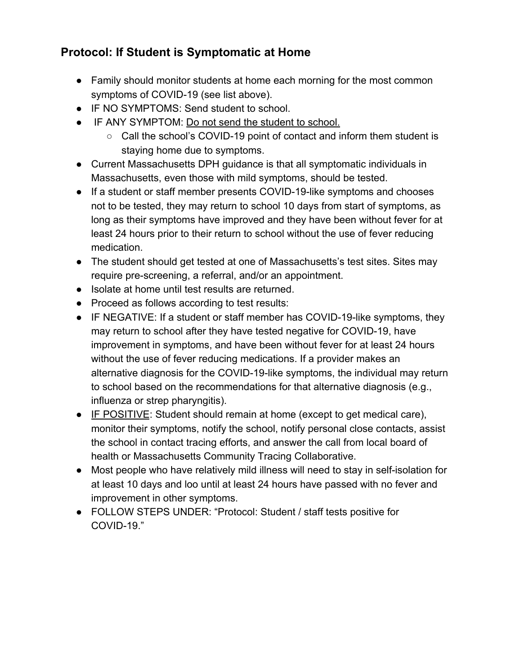## **Protocol: If Student is Symptomatic at Home**

- Family should monitor students at home each morning for the most common symptoms of COVID-19 (see list above).
- IF NO SYMPTOMS: Send student to school.
- IF ANY SYMPTOM: Do not send the student to school.
	- Call the school's COVID-19 point of contact and inform them student is staying home due to symptoms.
- Current Massachusetts DPH guidance is that all symptomatic individuals in Massachusetts, even those with mild symptoms, should be tested.
- If a student or staff member presents COVID-19-like symptoms and chooses not to be tested, they may return to school 10 days from start of symptoms, as long as their symptoms have improved and they have been without fever for at least 24 hours prior to their return to school without the use of fever reducing medication.
- The student should get tested at one of Massachusetts's test sites. Sites may require pre-screening, a referral, and/or an appointment.
- Isolate at home until test results are returned.
- Proceed as follows according to test results:
- IF NEGATIVE: If a student or staff member has COVID-19-like symptoms, they may return to school after they have tested negative for COVID-19, have improvement in symptoms, and have been without fever for at least 24 hours without the use of fever reducing medications. If a provider makes an alternative diagnosis for the COVID-19-like symptoms, the individual may return to school based on the recommendations for that alternative diagnosis (e.g., influenza or strep pharyngitis).
- IF POSITIVE: Student should remain at home (except to get medical care), monitor their symptoms, notify the school, notify personal close contacts, assist the school in contact tracing efforts, and answer the call from local board of health or Massachusetts Community Tracing Collaborative.
- Most people who have relatively mild illness will need to stay in self-isolation for at least 10 days and loo until at least 24 hours have passed with no fever and improvement in other symptoms.
- FOLLOW STEPS UNDER: "Protocol: Student / staff tests positive for COVID-19."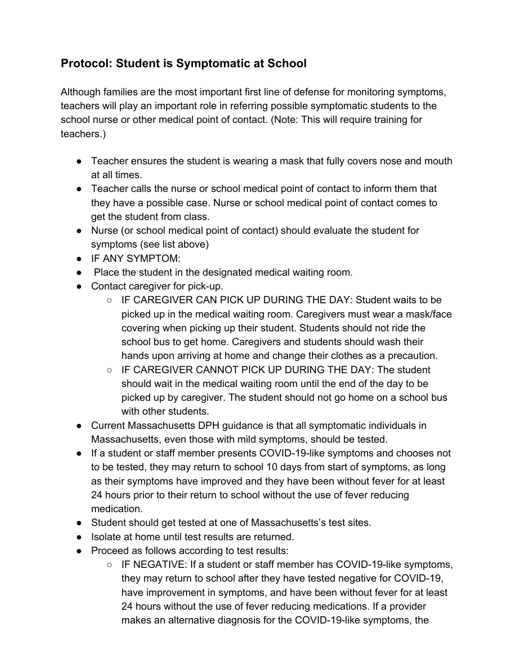### **Protocol: Student is Symptomatic at School**

Although families are the most important first line of defense for monitoring symptoms, teachers will play an important role in referring possible symptomatic students to the school nurse or other medical point of contact. (Note: This will require training for teachers.)

- Teacher ensures the student is wearing a mask that fully covers nose and mouth at all times.
- Teacher calls the nurse or school medical point of contact to inform them that they have a possible case. Nurse or school medical point of contact comes to get the student from class.
- Nurse (or school medical point of contact) should evaluate the student for symptoms (see list above)
- IF ANY SYMPTOM:
- Place the student in the designated medical waiting room.
- Contact caregiver for pick-up.
	- IF CAREGIVER CAN PICK UP DURING THE DAY: Student waits to be picked up in the medical waiting room. Caregivers must wear a mask/face covering when picking up their student. Students should not ride the school bus to get home. Caregivers and students should wash their hands upon arriving at home and change their clothes as a precaution.
	- IF CAREGIVER CANNOT PICK UP DURING THE DAY: The student should wait in the medical waiting room until the end of the day to be picked up by caregiver. The student should not go home on a school bus with other students.
- Current Massachusetts DPH guidance is that all symptomatic individuals in Massachusetts, even those with mild symptoms, should be tested.
- If a student or staff member presents COVID-19-like symptoms and chooses not to be tested, they may return to school 10 days from start of symptoms, as long as their symptoms have improved and they have been without fever for at least 24 hours prior to their return to school without the use of fever reducing medication.
- Student should get tested at one of Massachusetts's test sites.
- Isolate at home until test results are returned.
- Proceed as follows according to test results:
	- IF NEGATIVE: If a student or staff member has COVID-19-like symptoms, they may return to school after they have tested negative for COVID-19, have improvement in symptoms, and have been without fever for at least 24 hours without the use of fever reducing medications. If a provider makes an alternative diagnosis for the COVID-19-like symptoms, the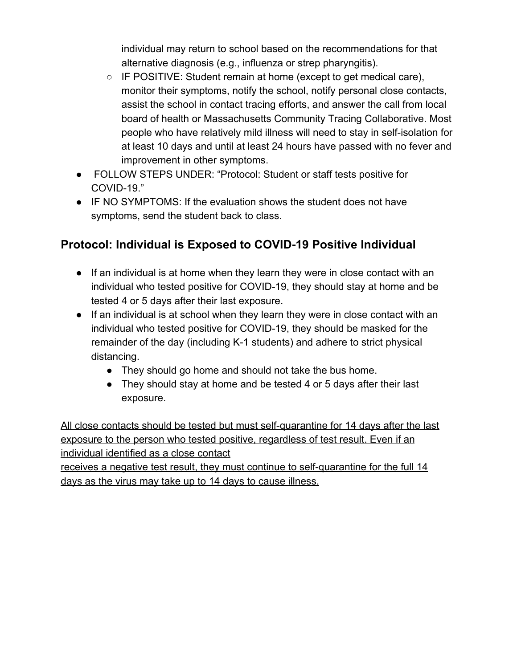individual may return to school based on the recommendations for that alternative diagnosis (e.g., influenza or strep pharyngitis).

- IF POSITIVE: Student remain at home (except to get medical care), monitor their symptoms, notify the school, notify personal close contacts, assist the school in contact tracing efforts, and answer the call from local board of health or Massachusetts Community Tracing Collaborative. Most people who have relatively mild illness will need to stay in self-isolation for at least 10 days and until at least 24 hours have passed with no fever and improvement in other symptoms.
- FOLLOW STEPS UNDER: "Protocol: Student or staff tests positive for COVID-19."
- IF NO SYMPTOMS: If the evaluation shows the student does not have symptoms, send the student back to class.

#### **Protocol: Individual is Exposed to COVID-19 Positive Individual**

- If an individual is at home when they learn they were in close contact with an individual who tested positive for COVID-19, they should stay at home and be tested 4 or 5 days after their last exposure.
- If an individual is at school when they learn they were in close contact with an individual who tested positive for COVID-19, they should be masked for the remainder of the day (including K-1 students) and adhere to strict physical distancing.
	- They should go home and should not take the bus home.
	- They should stay at home and be tested 4 or 5 days after their last exposure.

All close contacts should be tested but must self-quarantine for 14 days after the last exposure to the person who tested positive, regardless of test result. Even if an individual identified as a close contact

receives a negative test result, they must continue to self-quarantine for the full 14 days as the virus may take up to 14 days to cause illness.